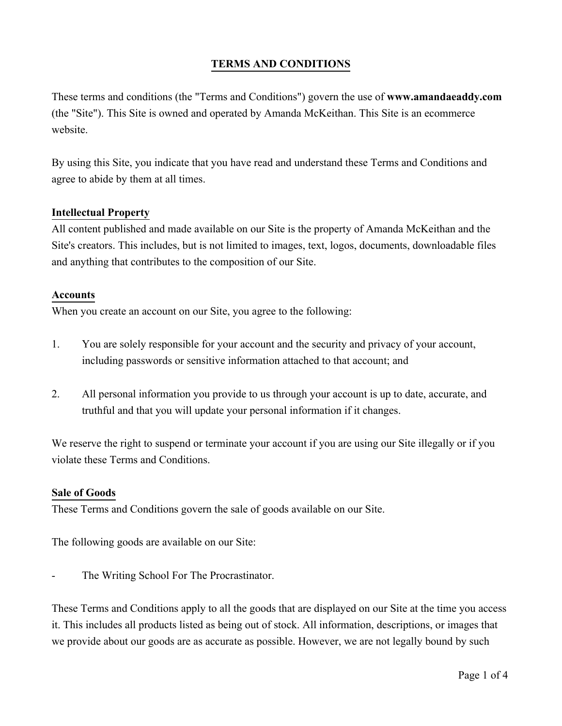# **TERMS AND CONDITIONS**

These terms and conditions (the "Terms and Conditions") govern the use of **www.amandaeaddy.com** (the "Site"). This Site is owned and operated by Amanda McKeithan. This Site is an ecommerce website.

By using this Site, you indicate that you have read and understand these Terms and Conditions and agree to abide by them at all times.

#### **Intellectual Property**

All content published and made available on our Site is the property of Amanda McKeithan and the Site's creators. This includes, but is not limited to images, text, logos, documents, downloadable files and anything that contributes to the composition of our Site.

#### **Accounts**

When you create an account on our Site, you agree to the following:

- 1. You are solely responsible for your account and the security and privacy of your account, including passwords or sensitive information attached to that account; and
- 2. All personal information you provide to us through your account is up to date, accurate, and truthful and that you will update your personal information if it changes.

We reserve the right to suspend or terminate your account if you are using our Site illegally or if you violate these Terms and Conditions.

#### **Sale of Goods**

These Terms and Conditions govern the sale of goods available on our Site.

The following goods are available on our Site:

The Writing School For The Procrastinator.

These Terms and Conditions apply to all the goods that are displayed on our Site at the time you access it. This includes all products listed as being out of stock. All information, descriptions, or images that we provide about our goods are as accurate as possible. However, we are not legally bound by such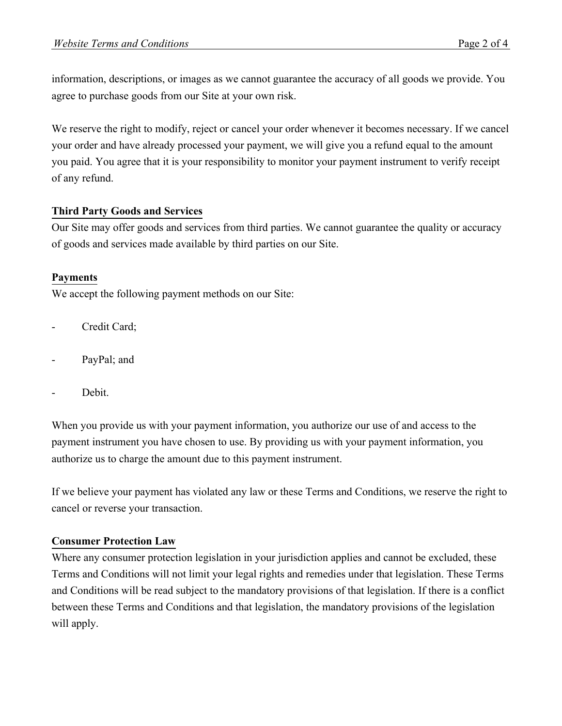information, descriptions, or images as we cannot guarantee the accuracy of all goods we provide. You agree to purchase goods from our Site at your own risk.

We reserve the right to modify, reject or cancel your order whenever it becomes necessary. If we cancel your order and have already processed your payment, we will give you a refund equal to the amount you paid. You agree that it is your responsibility to monitor your payment instrument to verify receipt of any refund.

# **Third Party Goods and Services**

Our Site may offer goods and services from third parties. We cannot guarantee the quality or accuracy of goods and services made available by third parties on our Site.

# **Payments**

We accept the following payment methods on our Site:

- Credit Card:
- PayPal; and
- Debit.

When you provide us with your payment information, you authorize our use of and access to the payment instrument you have chosen to use. By providing us with your payment information, you authorize us to charge the amount due to this payment instrument.

If we believe your payment has violated any law or these Terms and Conditions, we reserve the right to cancel or reverse your transaction.

### **Consumer Protection Law**

Where any consumer protection legislation in your jurisdiction applies and cannot be excluded, these Terms and Conditions will not limit your legal rights and remedies under that legislation. These Terms and Conditions will be read subject to the mandatory provisions of that legislation. If there is a conflict between these Terms and Conditions and that legislation, the mandatory provisions of the legislation will apply.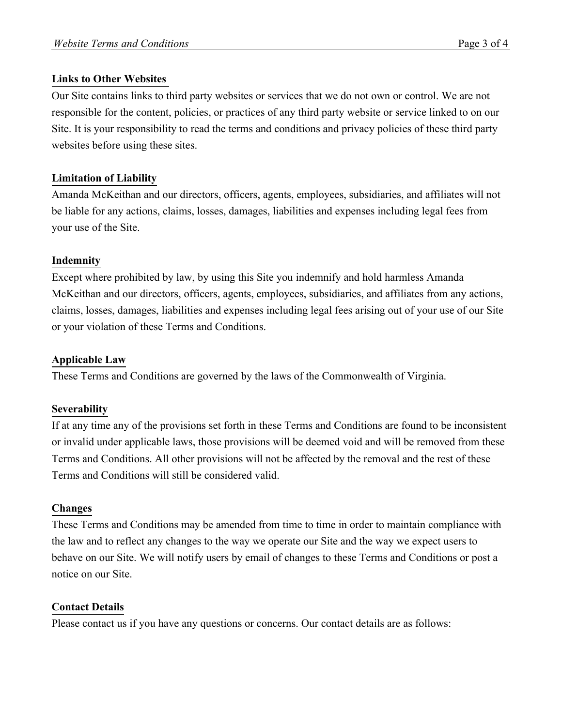### **Links to Other Websites**

Our Site contains links to third party websites or services that we do not own or control. We are not responsible for the content, policies, or practices of any third party website or service linked to on our Site. It is your responsibility to read the terms and conditions and privacy policies of these third party websites before using these sites.

# **Limitation of Liability**

Amanda McKeithan and our directors, officers, agents, employees, subsidiaries, and affiliates will not be liable for any actions, claims, losses, damages, liabilities and expenses including legal fees from your use of the Site.

# **Indemnity**

Except where prohibited by law, by using this Site you indemnify and hold harmless Amanda McKeithan and our directors, officers, agents, employees, subsidiaries, and affiliates from any actions, claims, losses, damages, liabilities and expenses including legal fees arising out of your use of our Site or your violation of these Terms and Conditions.

### **Applicable Law**

These Terms and Conditions are governed by the laws of the Commonwealth of Virginia.

### **Severability**

If at any time any of the provisions set forth in these Terms and Conditions are found to be inconsistent or invalid under applicable laws, those provisions will be deemed void and will be removed from these Terms and Conditions. All other provisions will not be affected by the removal and the rest of these Terms and Conditions will still be considered valid.

### **Changes**

These Terms and Conditions may be amended from time to time in order to maintain compliance with the law and to reflect any changes to the way we operate our Site and the way we expect users to behave on our Site. We will notify users by email of changes to these Terms and Conditions or post a notice on our Site.

### **Contact Details**

Please contact us if you have any questions or concerns. Our contact details are as follows: